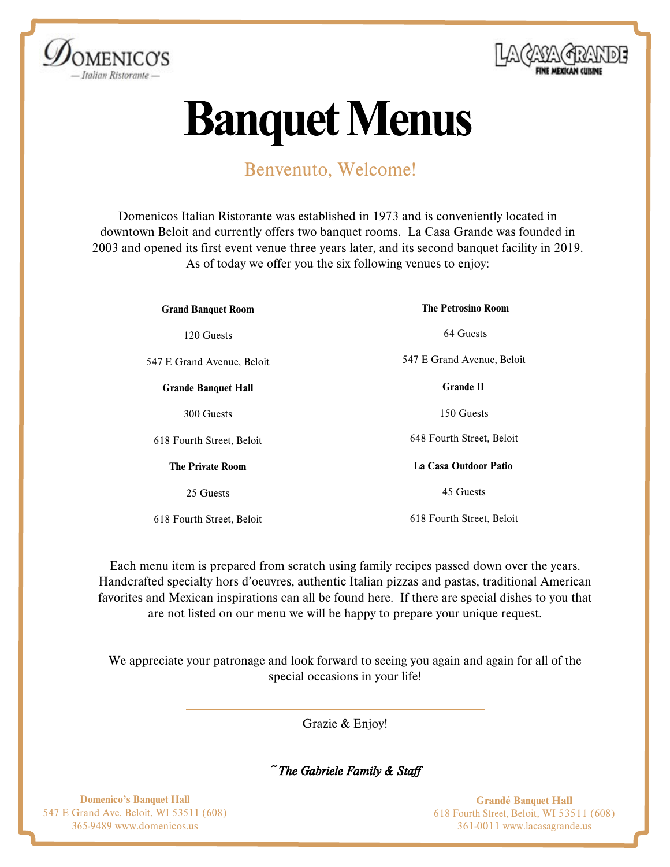



# **Banquet Menus**

# Benvenuto, Welcome!

Domenicos Italian Ristorante was established in 1973 and is conveniently located in downtown Beloit and currently offers two banquet rooms. La Casa Grande was founded in 2003 and opened its first event venue three years later, and its second banquet facility in 2019. As of today we offer you the six following venues to enjoy:

| <b>Grand Banquet Room</b>  | <b>The Petrosino Room</b>  |
|----------------------------|----------------------------|
| 120 Guests                 | 64 Guests                  |
| 547 E Grand Avenue, Beloit | 547 E Grand Avenue, Beloit |
| <b>Grande Banquet Hall</b> | <b>Grande II</b>           |
| 300 Guests                 | 150 Guests                 |
| 618 Fourth Street, Beloit  | 648 Fourth Street, Beloit  |
| <b>The Private Room</b>    | La Casa Outdoor Patio      |
| 25 Guests                  | 45 Guests                  |
| 618 Fourth Street, Beloit  | 618 Fourth Street, Beloit  |

Each menu item is prepared from scratch using family recipes passed down over the years. Handcrafted specialty hors d'oeuvres, authentic Italian pizzas and pastas, traditional American favorites and Mexican inspirations can all be found here. If there are special dishes to you that are not listed on our menu we will be happy to prepare your unique request.

We appreciate your patronage and look forward to seeing you again and again for all of the special occasions in your life!

Grazie & Enjoy!

*~The [Gabriele Family & Staf](http://www.lacasagrande.us/)f*

Domenico's Banquet Hall 547 E Grand Ave, Beloit, WI 53511 (608) 365-9489 www.domenicos.us

Grandé Banquet Hall 618 Fourth Street, Beloit, WI 53511 (608) 361-0011 www.lacasagrande.us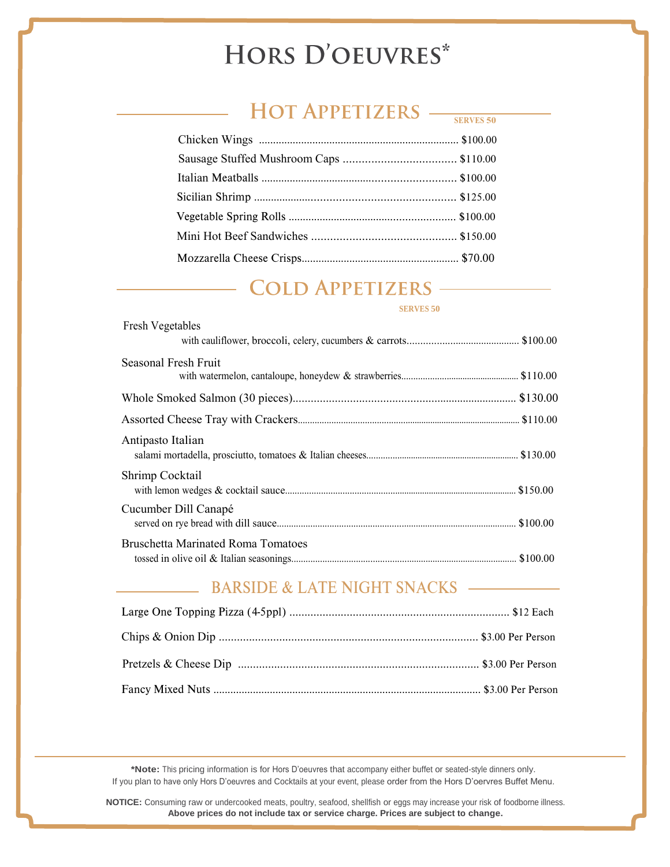# HORS D'OEUVRES\*

# HOT APPETIZERS -

### Chicken Wings ....................................................................... \$100.00 Sausage Stuffed Mushroom Caps .................................... \$110.00 Italian Meatballs .................................................................. \$100.00 Sicilian Shrimp .................................................................. \$125.00 Vegetable Spring Rolls .......................................................... \$100.00 Mini Hot Beef Sandwiches .............................................. \$150.00 Mozzarella Cheese Crisps........................................................ \$70.00

# COLD APPETIZERS ——

 $F_{\text{max}}$  J.  $M_{\text{max}}$  and  $M_{\text{max}}$ 

#### **SERVES 50**

**SERVES 50**

| <b>Fresh vegetables</b>                   |  |
|-------------------------------------------|--|
| Seasonal Fresh Fruit                      |  |
|                                           |  |
|                                           |  |
| Antipasto Italian                         |  |
| Shrimp Cocktail                           |  |
| Cucumber Dill Canapé                      |  |
| <b>Bruschetta Marinated Roma Tomatoes</b> |  |

### BARSIDE & LATE NIGHT SNACKS

**\*Note:** This pricing information is for Hors D'oeuvres that accompany either buffet or seated-style dinners only. If you plan to have only Hors D'oeuvres and Cocktails at your event, please order from the Hors D'oervres Buffet Menu.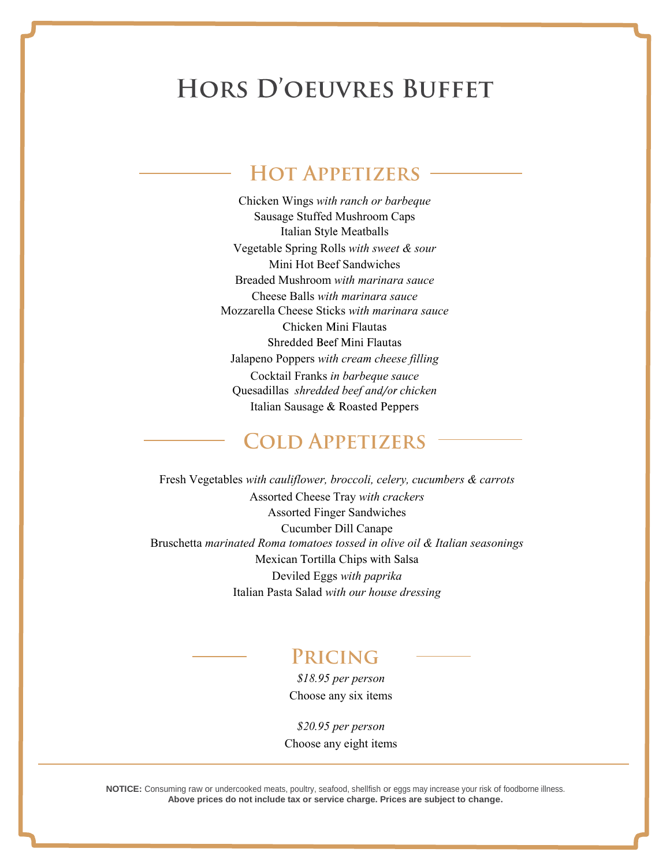# **HORS D'OEUVRES BUFFET**

# **HOT APPETIZERS**

Chicken Wings *with ranch or barbeque* Sausage Stuffed Mushroom Caps Italian Style Meatballs Vegetable Spring Rolls *with sweet & sour* Mini Hot Beef Sandwiches Breaded Mushroom *with marinara sauce* Cheese Balls *with marinara sauce* Mozzarella Cheese Sticks *with marinara sauce* Chicken Mini Flautas Shredded Beef Mini Flautas Jalapeno Poppers *with cream cheese filling* Cocktail Franks *in barbeque sauce* Quesadillas *shredded beef and/or chicken* Italian Sausage & Roasted Peppers

### **COLD APPETIZERS**

Fresh Vegetables *with cauliflower, broccoli, celery, cucumbers & carrots* Assorted Cheese Tray *with crackers* Assorted Finger Sandwiches Cucumber Dill Canape Bruschetta *marinated Roma tomatoes tossed in olive oil & Italian seasonings* Mexican Tortilla Chips with Salsa Deviled Eggs *with paprika* Italian Pasta Salad *with our house dressing*

# PRICING

*\$18.95 per person* Choose any six items

*\$20.95 per person* Choose any eight items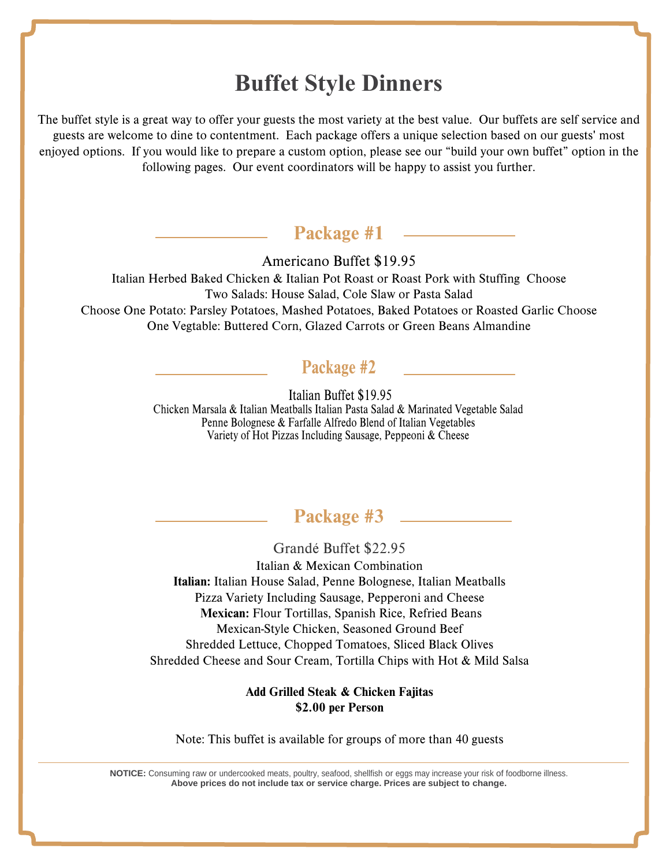# **Buffet Style Dinners**

The buffet style is a great way to [offer your guests the most variety at the best val](https://docs.google.com/forms/d/1-PVZDBWX8QywzqR5d96t8E4hchFd-O9qB22QtZXNo_A/viewform?usp=send_form)ue. Our buffets are self service and guests are welcome to dine to contentment. Each package offers a unique selection based on our guests' most enjoyed options. If you would like t[o prepare a custom option, please see our](https://docs.google.com/forms/d/13TZ0h_VVcngh4hny2ktl1uXJJeRaX_Cz5i7f_SD9Azg/viewform?usp=send_form) "build your own buffet" option in the following pages. Our event coordinators will be happy to assist you further.

### Package #1

Americano Buffet \$19.95

Italian Herbed Baked Chicken & Italian Pot Roast or Roast Pork with Stuffing Choose Two Salads: House Salad, Cole Slaw or Pasta Salad Choose One Potato: Parsley Potatoes, Mashed Potatoes, Baked Potatoes or Roasted Garlic Choose One Vegtable: Buttered Corn, Glazed Carrots or Green Beans Almandine

### Package #2

Italian Buffet \$19.95 IItalian Buffet \$19.95 Chicken Marsala & Italian Meatballs Italian Pasta Salad & Marinated Vegetable Salad Chicken Marsala & Italian Meatballs Italian Pasta Salad & Marinated Vegetable Salad Penne Bolognese & Farfalle Alfredo Blend of Italian Vegetables Penne Bolognese & Farfalle Alfredo Blend of Italian Vegetables Variety of Hot Pizzas Including Sausage, Peppeoni & Cheese Variety of Hot Pizzas Including Sausage, Peppeoni & Cheese

# Package #3

Grandé Buffet \$22.95

Italian & Mexican Combination Italian: Italian House Salad, Penne Bolognese, Italian Meatballs Pizza Variety Including Sausage, Pepperoni and Cheese Mexican: Flour Tortillas, Spanish Rice, Refried Beans Mexican-Style Chicken, Seasoned Ground Beef Shredded Lettuce, Chopped Tomatoes, Sliced Black Olives Shredded Cheese and Sour Cream, Tortilla Chips with Hot & Mild Salsa

#### Add Grilled Steak & Chicken Fajitas \$2.00 per Person

Note: This buffet is available for groups of more than 40 guests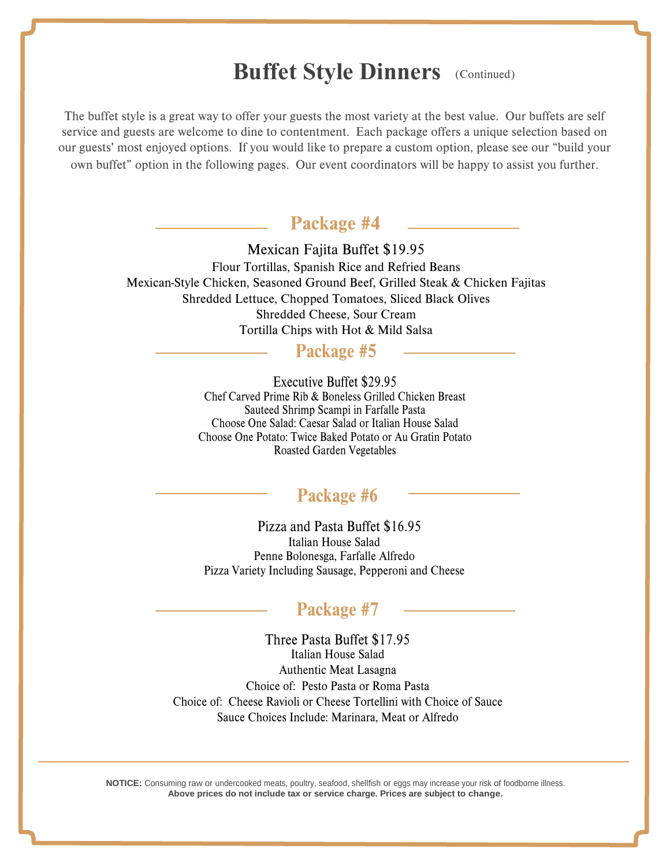# **Buffet Style Dinners** (Continued)

The buffet style is a great way [to offer your guests the most variety at the b](https://docs.google.com/forms/d/178KH8Z_XmMQ0kt5dM2qXGBYEnQWuv-aX_VpQu9BXCl0/viewform?usp=send_form)est value. Our buffets are self service and guests are welco[me to dine to contentment. Each package offer](https://docs.google.com/forms/d/1Sd85W0SmDL90pBby4B5gZxo5yfabTMa3bdMQ_skSjcs/viewform?usp=send_form)s a unique selection based on our guests' most enjoyed options. If you would like to prepare a custom option, please see our "build your own buffet" option in t[he following pages. Our event coordinators will be happ](https://docs.google.com/forms/d/17hYuvewZxrRjcBNN49CtZd8ZqU8LRx9c2FfcoG7OQBk/viewform?usp=send_form)y to assist you further.

### Package #4

Mexican Fajita Buffet \$19.95 Flour Tortillas, Spanish Rice and Refried Beans Mexican-Style Chicken, Seasoned Ground Beef, Grilled Steak & Chicken Fajitas Shredded Lettuce, Chopped Tomatoes, Sliced Black Olives Shredded Cheese, Sour Cream Tortilla Chips with Hot & Mild Salsa

### Package #5

Executive Buffet \$29.95 Chef Carved Prime Rib & Boneless Grilled Chicken Breast Sauteed Shrimp Scampi in Farfalle Pasta Choose One Salad: Caesar Salad or Italian House Salad Choose One Potato: Twice Baked Potato or Au Gratin Potato Roasted Garden Vegetables

### Package #6

 Pizza and Pasta Buffet \$16.95 Italian House Salad Penne Bolonesga, Farfalle Alfredo Pizza Variety Including Sausage, Pepperoni and Cheese

### Package #7

Three Pasta Buffet \$17.95 Italian House Salad Authentic Meat Lasagna Choice of: Pesto Pasta or Roma Pasta Choice of: Cheese Ravioli or Cheese Tortellini with Choice of Sauce Sauce Choices Include: Marinara, Meat or Alfredo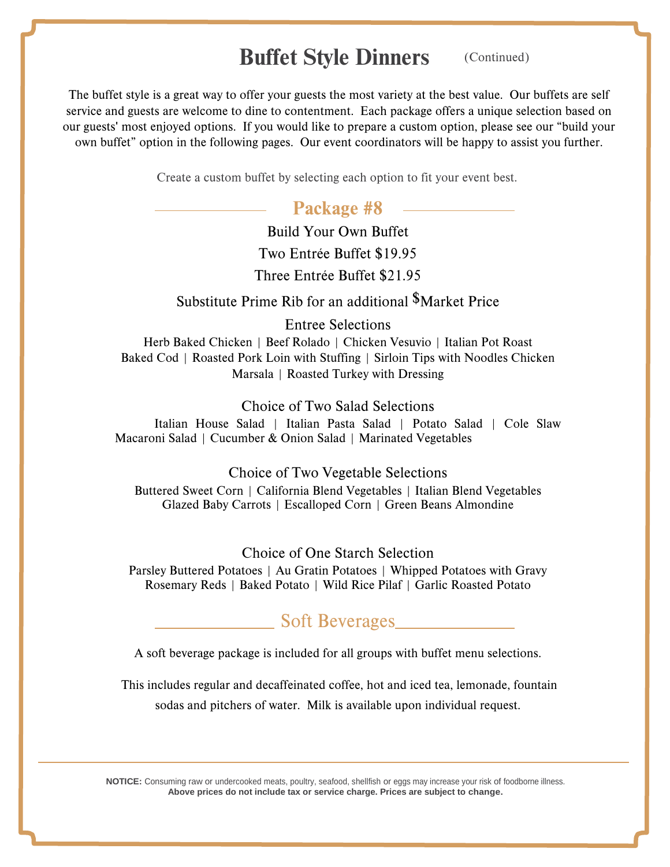# Buffet Style Dinners

(Continued)

The buffet style is a great wa[y to offer your guests the most variety at the](https://docs.google.com/forms/d/1YtAv5mNlRfyQ88ErlQN_U7f1In9rl9r9ABwc5A6b4tE/viewform?usp=send_form) best value. Our buffets are self service and guests are welcome to dine to contentment. Each package offers a unique selection based on our guests' most enjoyed optio[ns. If you would like to prepare a custom op](https://docs.google.com/forms/d/1HlR30VbvFSigxaT1cKWI3ifD1sMGm4beFvKh5KO563M/viewform?usp=send_form)tion, please see our "build your own buffet" option in the following pages. Our event coordinators will be happy to assist you further.

Create a custom buffet by selecting each option to fit your event best.

### Package #8

Build Your Own Buffet Two Entrée Buffet \$19.95 Three Entrée Buffet \$21.95

Substitute Prime Rib for an additional \$Market Price

Entree Selections

Herb Baked Chicken | Beef Rolado | Chicken Vesuvio | Italian Pot Roast Baked Cod | Roasted Pork Loin with Stuffing | Sirloin Tips with Noodles Chicken Marsala | Roasted Turkey with Dressing

#### Choice of Two Salad Selections

Italian House Salad | Italian Pasta Salad | Potato Salad | Cole Slaw Macaroni Salad | Cucumber & Onion Salad | Marinated Vegetables

#### Choice of Two Vegetable Selections

Buttered Sweet Corn | California Blend Vegetables | Italian Blend Vegetables Glazed Baby Carrots | Escalloped Corn | Green Beans Almondine

Choice of One Starch Selection

Parsley Buttered Potatoes | Au Gratin Potatoes | Whipped Potatoes with Gravy Rosemary Reds | Baked Potato | Wild Rice Pilaf | Garlic Roasted Potato

### Soft Beverages

A soft beverage package is included for all groups with buffet menu selections.

 This includes regular and decaffeinated coffee, hot and iced tea, lemonade, fountain sodas and pitchers of water. Milk is available upon individual request.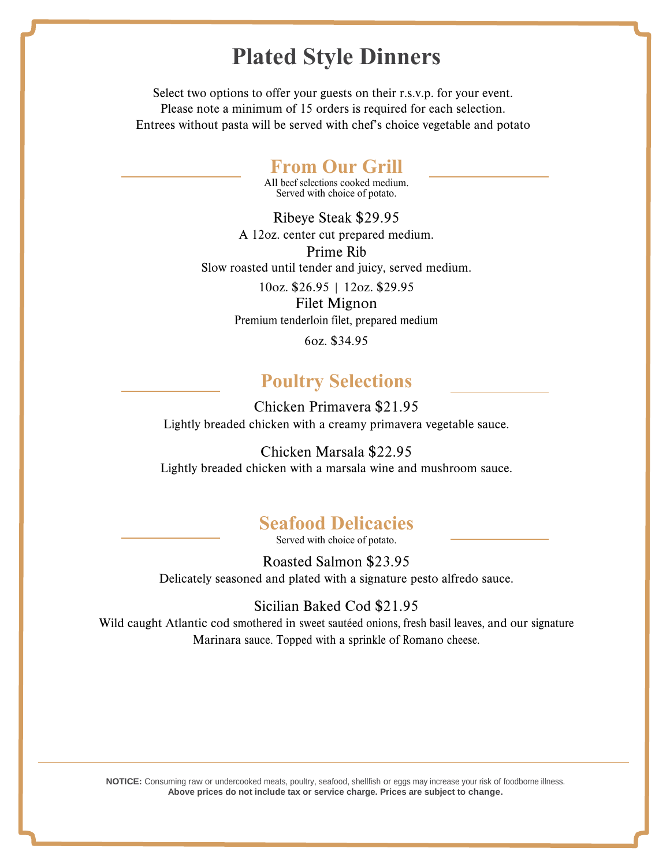# **Plated Style Dinners**

Select two options to offer your guests on their r.s.v.p. for your event. Please note a minimum of 15 orders is required for each selection. Entrees without pasta will be served with chef's choice vegetable and potato

### **From Our Grill**

All beef selections cooked medium. Served with choice of potato.

Ribeye Steak \$29.95 A 12oz. center cut prepared medium. Prime Rib Slow roasted until tender and juicy, served medium.

> 10oz. \$26.95 | 12oz. \$29.95 Filet Mignon Premium tenderloin filet, prepared medium

> > 6oz. \$34.95

### **Poultry Selections**

Chicken Primavera \$21.95 Lightly breaded chicken with a creamy primavera vegetable sauce.

Chicken Marsala \$22.95 Lightly breaded chicken with a marsala wine and mushroom sauce.

### **Seafood Delicacies**

Served with choice of potato.

Roasted Salmon \$23.95 Delicately seasoned and plated with a signature pesto alfredo sauce.

Sicilian Baked Cod \$21.95 Wild caught Atlantic cod smothered in sweet sautéed onions, fresh basil leaves, and our signature Marinara sauce. Topped with a sprinkle of Romano cheese.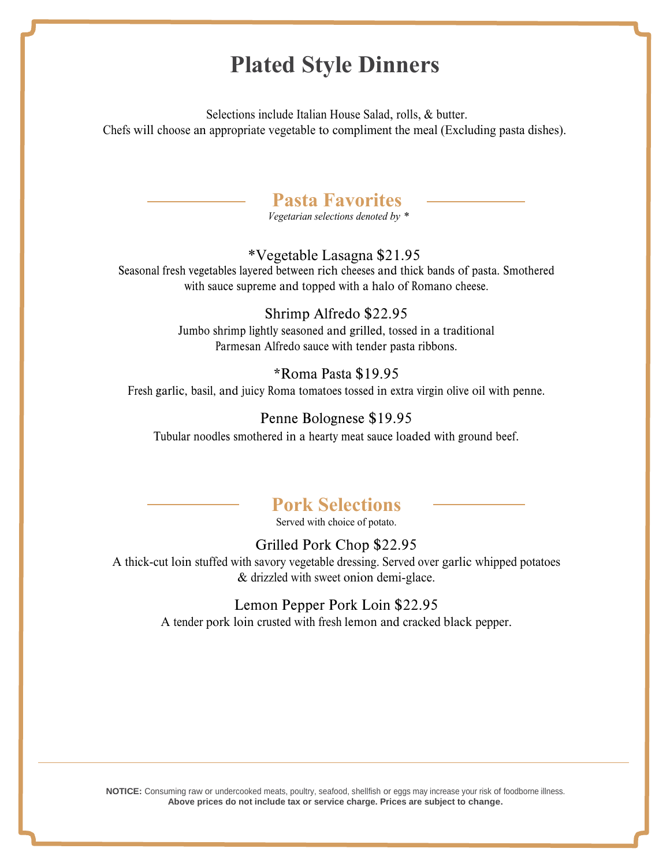# **Plated Style Dinners**

Selections include Italian House Salad, rolls, & butter. Chefs will choose an appropriate vegetable to compliment the meal (Excluding pasta dishes).



*Vegetarian selections denoted by \**

#### \* Vegetable Lasagna \$21.95

Seasonal fresh vegetables layered between rich cheeses and thick bands of pasta. Smothered with sauce supreme and topped with a halo of Romano cheese.

#### Shrimp Alfredo \$22.95

Jumbo shrimp lightly seasoned and grilled, tossed in a traditional Parmesan Alfredo sauce with tender pasta ribbons.

#### \*Roma Pasta \$19.95

Fresh garlic, basil, and juicy Roma tomatoes tossed in extra virgin olive oil with penne.

#### Penne Bolognese \$19.95

Tubular noodles smothered in a hearty meat sauce loaded with ground beef.

# **Pork Selections**

Served with choice of potato.

#### Grilled Pork Chop \$22.95

A thick-cut loin stuffed with savory vegetable dressing. Served over garlic whipped potatoes & drizzled with sweet onion demi-glace.

#### Lemon Pepper Pork Loin \$22.95

A tender pork loin crusted with fresh lemon and cracked black pepper.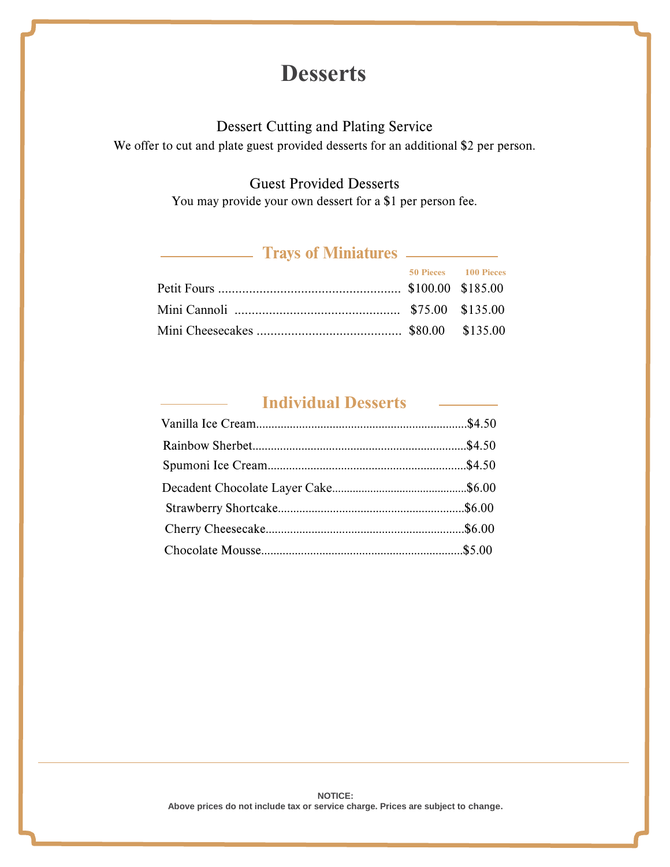# **Desserts**

#### Dessert Cutting and Plating Service

We offer to cut and plate guest provided desserts for an additional \$2 per person.

### Guest Provided Desserts

You may pro[vide your own dessert for a \\$1 per p](https://docs.google.com/forms/d/1tXRZQQnWPG4yVAq25RE1gLClBoClhHlQh3I4HeQslyU/viewform?usp=send_form)erson fee.

### **Trays of Miniatures**

|  | 50 Pieces 100 Pieces |
|--|----------------------|
|  |                      |
|  |                      |
|  |                      |

### **Individual Desserts**

 $\overline{\phantom{a}}$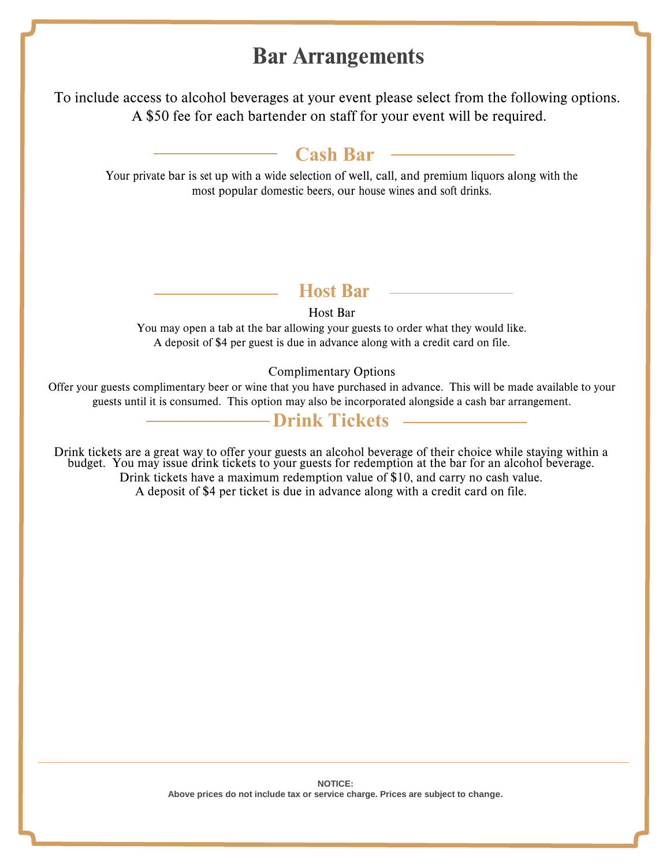# Bar Arrangements

To include access to alcohol beverages at your event please select from the following options. A \$50 fee for each bartender on staff for your event will be required.

### **Cash Bar**

Your private bar is set up with a wide selection of well, call, and premium liquors along with the most popular domestic beers, our house wines and soft drinks.

### **Host Bar**

#### Host Bar

You may open a tab at the bar allowing your guests to order what they would like. A deposit of \$4 per guest is due in advance along with a credit card on file.

#### Complimentary Options

Offer your guests complimentary beer or wine that you have purchased in advance. This will be made available to your guests until it is consumed. This option may also be incorporated alongside a cash bar arrangement.

### **Drink Tickets**

Drink tickets are a great way to offer your guests an alcohol beverage of their choice while staying within a budget. You may issue drink tickets to your guests for redemption at the bar for an alcohol beverage. Drink tickets have a maximum redemption value of \$10, and carry no cash value. A deposit of \$4 per ticket is due in advance along with a credit card on file.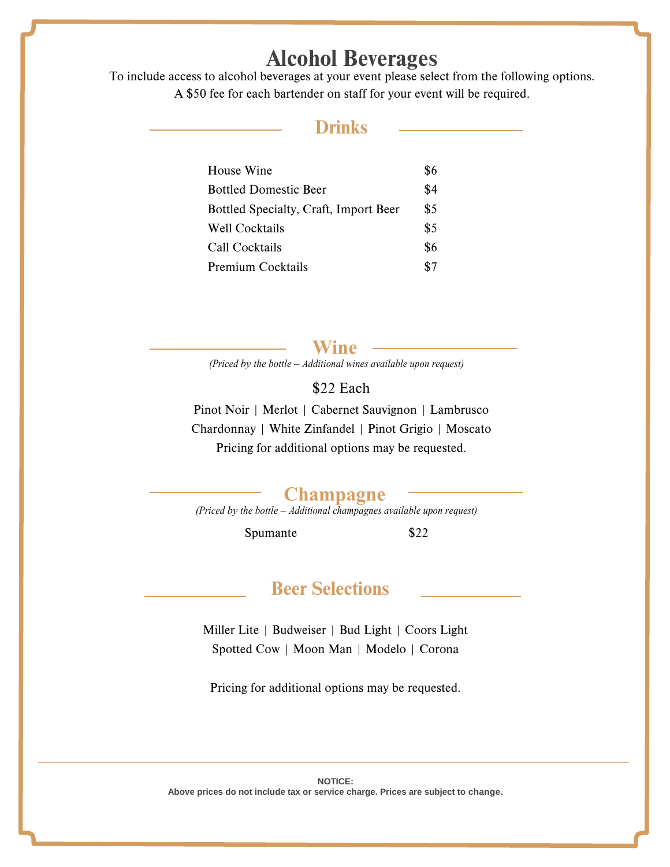# Alcohol Beverages

To include access to alcohol beverages at your event please select from the following options. A \$50 fee for each bartender on staff for your event will be required.

### **Drinks**

| House Wine                            | \$6 |
|---------------------------------------|-----|
| <b>Bottled Domestic Beer</b>          | \$4 |
| Bottled Specialty, Craft, Import Beer | \$5 |
| Well Cocktails                        | \$5 |
| Call Cocktails                        | \$6 |
| Premium Cocktails                     | \$7 |

**Wine**

*(Priced by the bottle – Additional wines available upon request)*

\$22 Each

Pinot Noir | Merlot | Cabernet Sauvignon | Lambrusco Chardonnay | White Zinfandel | Pinot Grigio | Moscato Pricing for additional options may be requested.

#### **Champagne**

*(Priced by the bottle – Additional champagnes available upon request)*

Spumante \$22

### Beer Selections

Miller Lite | Budweiser | Bud Light | Coors Light Spotted Cow | Moon Man | Modelo | Corona

Pricing for additional options may be requested.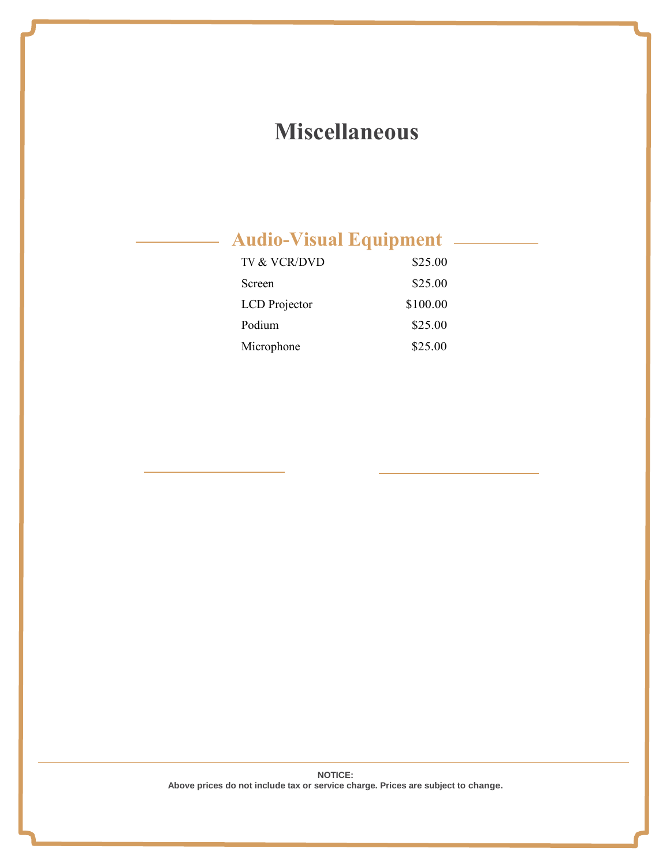# **Miscellaneous**

# **Audio-Visual Equipment**

| TV & VCR/DVD  | \$25.00  |
|---------------|----------|
| Screen        | \$25.00  |
| LCD Projector | \$100.00 |
| Podium        | \$25.00  |
| Microphone    | \$25.00  |

**NOTICE: Above prices do not include tax or service charge. Prices are subject to change.**